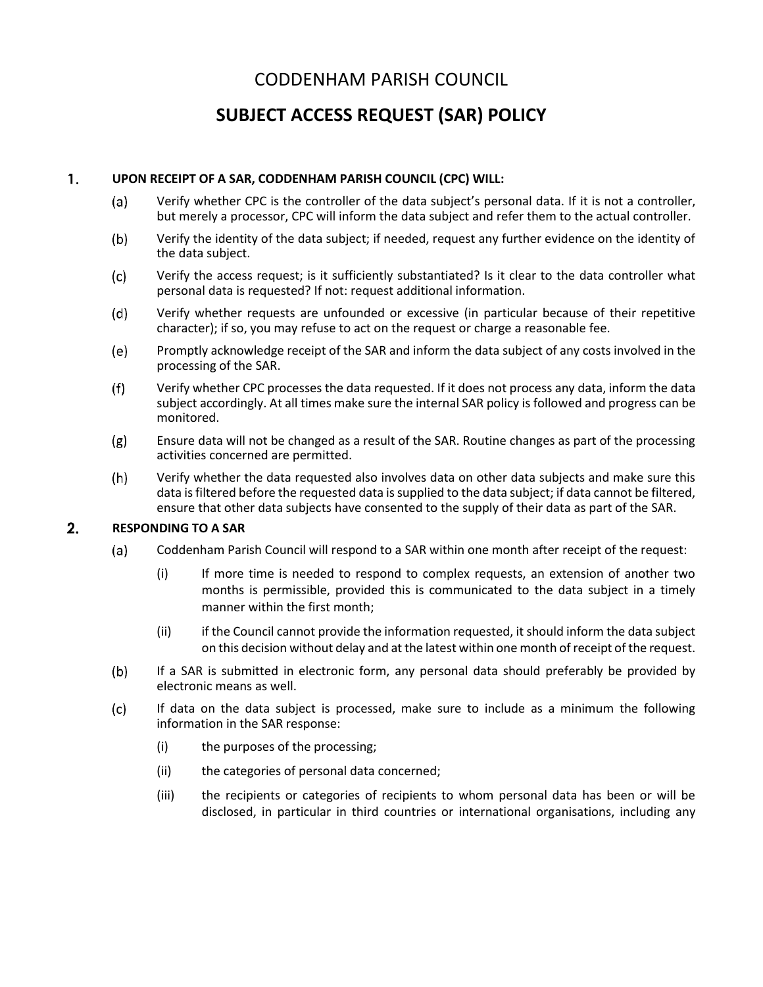## CODDENHAM PARISH COUNCIL

## **SUBJECT ACCESS REQUEST (SAR) POLICY**

## $\mathbf{1}$ . **UPON RECEIPT OF A SAR, CODDENHAM PARISH COUNCIL (CPC) WILL:**

- $(a)$ Verify whether CPC is the controller of the data subject's personal data. If it is not a controller, but merely a processor, CPC will inform the data subject and refer them to the actual controller.
- $(b)$ Verify the identity of the data subject; if needed, request any further evidence on the identity of the data subject.
- $(c)$ Verify the access request; is it sufficiently substantiated? Is it clear to the data controller what personal data is requested? If not: request additional information.
- Verify whether requests are unfounded or excessive (in particular because of their repetitive (d) character); if so, you may refuse to act on the request or charge a reasonable fee.
- (e) Promptly acknowledge receipt of the SAR and inform the data subject of any costs involved in the processing of the SAR.
- $(f)$ Verify whether CPC processes the data requested. If it does not process any data, inform the data subject accordingly. At all times make sure the internal SAR policy is followed and progress can be monitored.
- Ensure data will not be changed as a result of the SAR. Routine changes as part of the processing  $(g)$ activities concerned are permitted.
- $(h)$ Verify whether the data requested also involves data on other data subjects and make sure this data is filtered before the requested data is supplied to the data subject; if data cannot be filtered, ensure that other data subjects have consented to the supply of their data as part of the SAR.

## $2.$ **RESPONDING TO A SAR**

- $(a)$ Coddenham Parish Council will respond to a SAR within one month after receipt of the request:
	- (i) If more time is needed to respond to complex requests, an extension of another two months is permissible, provided this is communicated to the data subject in a timely manner within the first month;
	- (ii) if the Council cannot provide the information requested, it should inform the data subject on this decision without delay and at the latest within one month of receipt of the request.
- If a SAR is submitted in electronic form, any personal data should preferably be provided by  $(b)$ electronic means as well.
- $(c)$ If data on the data subject is processed, make sure to include as a minimum the following information in the SAR response:
	- (i) the purposes of the processing;
	- (ii) the categories of personal data concerned;
	- (iii) the recipients or categories of recipients to whom personal data has been or will be disclosed, in particular in third countries or international organisations, including any